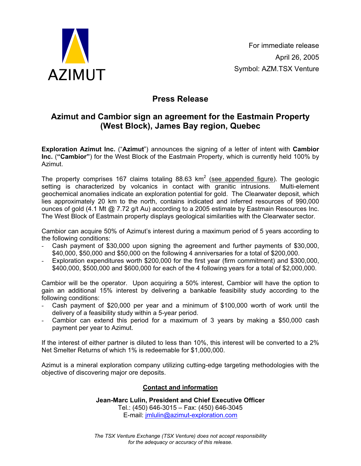

## **Press Release**

## **Azimut and Cambior sign an agreement for the Eastmain Property (West Block), James Bay region, Quebec**

**Exploration Azimut Inc.** ("**Azimut**") announces the signing of a letter of intent with **Cambior Inc.** (**"Cambior"**) for the West Block of the Eastmain Property, which is currently held 100% by Azimut.

The property comprises 167 claims totaling 88.63  $km^2$  (see appended figure). The geologic setting is characterized by volcanics in contact with granitic intrusions. Multi-element geochemical anomalies indicate an exploration potential for gold. The Clearwater deposit, which lies approximately 20 km to the north, contains indicated and inferred resources of 990,000 ounces of gold (4.1 Mt @ 7.72 g/t Au) according to a 2005 estimate by Eastmain Resources Inc. The West Block of Eastmain property displays geological similarities with the Clearwater sector.

Cambior can acquire 50% of Azimut's interest during a maximum period of 5 years according to the following conditions:

- Cash payment of \$30,000 upon signing the agreement and further payments of \$30,000, \$40,000, \$50,000 and \$50,000 on the following 4 anniversaries for a total of \$200,000.
- Exploration expenditures worth \$200,000 for the first year (firm commitment) and \$300,000, \$400,000, \$500,000 and \$600,000 for each of the 4 following years for a total of \$2,000,000.

Cambior will be the operator. Upon acquiring a 50% interest, Cambior will have the option to gain an additional 15% interest by delivering a bankable feasibility study according to the following conditions:

- Cash payment of \$20,000 per year and a minimum of \$100,000 worth of work until the delivery of a feasibility study within a 5-year period.
- Cambior can extend this period for a maximum of 3 years by making a \$50,000 cash payment per year to Azimut.

If the interest of either partner is diluted to less than 10%, this interest will be converted to a 2% Net Smelter Returns of which 1% is redeemable for \$1,000,000.

Azimut is a mineral exploration company utilizing cutting-edge targeting methodologies with the objective of discovering major ore deposits.

## **Contact and information**

**Jean-Marc Lulin, President and Chief Executive Officer**  Tel.: (450) 646-3015 – Fax: (450) 646-3045 E-mail: jmlulin@azimut-exploration.com